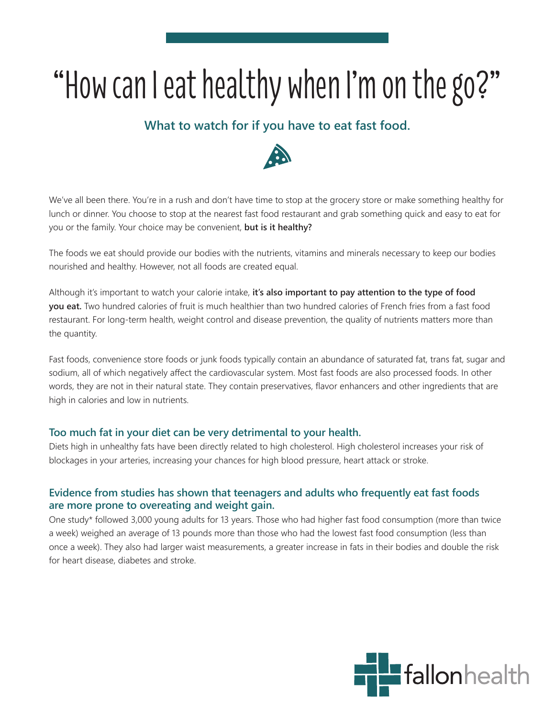## "How can I eat healthy when I'm on the go?"

## **What to watch for if you have to eat fast food.**



We've all been there. You're in a rush and don't have time to stop at the grocery store or make something healthy for lunch or dinner. You choose to stop at the nearest fast food restaurant and grab something quick and easy to eat for you or the family. Your choice may be convenient, **but is it healthy?** 

The foods we eat should provide our bodies with the nutrients, vitamins and minerals necessary to keep our bodies nourished and healthy. However, not all foods are created equal.

Although it's important to watch your calorie intake, **it's also important to pay attention to the type of food you eat.** Two hundred calories of fruit is much healthier than two hundred calories of French fries from a fast food restaurant. For long-term health, weight control and disease prevention, the quality of nutrients matters more than the quantity.

Fast foods, convenience store foods or junk foods typically contain an abundance of saturated fat, trans fat, sugar and sodium, all of which negatively affect the cardiovascular system. Most fast foods are also processed foods. In other words, they are not in their natural state. They contain preservatives, flavor enhancers and other ingredients that are high in calories and low in nutrients.

## **Too much fat in your diet can be very detrimental to your health.**

Diets high in unhealthy fats have been directly related to high cholesterol. High cholesterol increases your risk of blockages in your arteries, increasing your chances for high blood pressure, heart attack or stroke.

## **Evidence from studies has shown that teenagers and adults who frequently eat fast foods are more prone to overeating and weight gain.**

One study\* followed 3,000 young adults for 13 years. Those who had higher fast food consumption (more than twice a week) weighed an average of 13 pounds more than those who had the lowest fast food consumption (less than once a week). They also had larger waist measurements, a greater increase in fats in their bodies and double the risk for heart disease, diabetes and stroke.